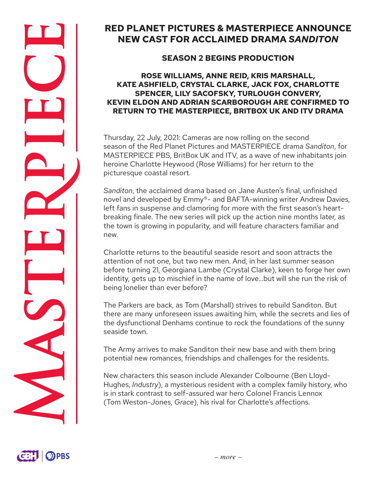# **RED PLANET PICTURES & MASTERPIECE ANNOUNCE NEW CAST FOR ACCLAIMED DRAMA** *SANDITON*

## **SEASON 2 BEGINS PRODUCTION**

#### **ROSE WILLIAMS, ANNE REID, KRIS MARSHALL, KATE ASHFIELD, CRYSTAL CLARKE, JACK FOX, CHARLOTTE SPENCER, LILY SACOFSKY, TURLOUGH CONVERY, KEVIN ELDON AND ADRIAN SCARBOROUGH ARE CONFIRMED TO RETURN TO THE MASTERPIECE, BRITBOX UK AND ITV DRAMA**

Thursday, 22 July, 2021: Cameras are now rolling on the second season of the Red Planet Pictures and MASTERPIECE drama *Sanditon*, for MASTERPIECE PBS, BritBox UK and ITV, as a wave of new inhabitants join heroine Charlotte Heywood (Rose Williams) for her return to the picturesque coastal resort.

*Sanditon*, the acclaimed drama based on Jane Austen's final, unfinished novel and developed by Emmy®- and BAFTA-winning writer Andrew Davies, left fans in suspense and clamoring for more with the first season's heartbreaking finale. The new series will pick up the action nine months later, as the town is growing in popularity, and will feature characters familiar and new.

Charlotte returns to the beautiful seaside resort and soon attracts the attention of not one, but two new men. And, in her last summer season before turning 21, Georgiana Lambe (Crystal Clarke), keen to forge her own identity, gets up to mischief in the name of love…but will she run the risk of being lonelier than ever before?

The Parkers are back, as Tom (Marshall) strives to rebuild Sanditon. But there are many unforeseen issues awaiting him, while the secrets and lies of the dysfunctional Denhams continue to rock the foundations of the sunny seaside town.

The Army arrives to make Sanditon their new base and with them bring potential new romances, friendships and challenges for the residents.

New characters this season include Alexander Colbourne (Ben Lloyd-Hughes, *Industry*), a mysterious resident with a complex family history, who is in stark contrast to self-assured war hero Colonel Francis Lennox (Tom Weston-Jones, *Grace*), his rival for Charlotte's affections.

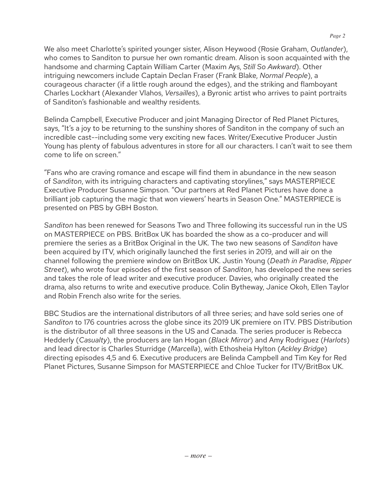We also meet Charlotte's spirited younger sister, Alison Heywood (Rosie Graham, *Outlander*), who comes to Sanditon to pursue her own romantic dream. Alison is soon acquainted with the handsome and charming Captain William Carter (Maxim Ays, *Still So Awkward*). Other intriguing newcomers include Captain Declan Fraser (Frank Blake, *Normal People*), a courageous character (if a little rough around the edges), and the striking and flamboyant Charles Lockhart (Alexander Vlahos, *Versailles*), a Byronic artist who arrives to paint portraits of Sanditon's fashionable and wealthy residents.

Belinda Campbell, Executive Producer and joint Managing Director of Red Planet Pictures, says, "It's a joy to be returning to the sunshiny shores of Sanditon in the company of such an incredible cast--including some very exciting new faces. Writer/Executive Producer Justin Young has plenty of fabulous adventures in store for all our characters. I can't wait to see them come to life on screen."

"Fans who are craving romance and escape will find them in abundance in the new season of *Sanditon*, with its intriguing characters and captivating storylines," says MASTERPIECE Executive Producer Susanne Simpson. "Our partners at Red Planet Pictures have done a brilliant job capturing the magic that won viewers' hearts in Season One." MASTERPIECE is presented on PBS by GBH Boston.

*Sanditon* has been renewed for Seasons Two and Three following its successful run in the US on MASTERPIECE on PBS. BritBox UK has boarded the show as a co-producer and will premiere the series as a BritBox Original in the UK. The two new seasons of *Sanditon* have been acquired by ITV, which originally launched the first series in 2019, and will air on the channel following the premiere window on BritBox UK. Justin Young (*Death in Paradise*, *Ripper Street*), who wrote four episodes of the first season of *Sanditon*, has developed the new series and takes the role of lead writer and executive producer. Davies, who originally created the drama, also returns to write and executive produce. Colin Bytheway, Janice Okoh, Ellen Taylor and Robin French also write for the series.

BBC Studios are the international distributors of all three series; and have sold series one of *Sanditon* to 176 countries across the globe since its 2019 UK premiere on ITV. PBS Distribution is the distributor of all three seasons in the US and Canada. The series producer is Rebecca Hedderly (*Casualty*), the producers are Ian Hogan (*Black Mirror*) and Amy Rodriguez (*Harlots*) and lead director is Charles Sturridge (*Marcella*), with Ethosheia Hylton (*Ackley Bridge*) directing episodes 4,5 and 6. Executive producers are Belinda Campbell and Tim Key for Red Planet Pictures, Susanne Simpson for MASTERPIECE and Chloe Tucker for ITV/BritBox UK.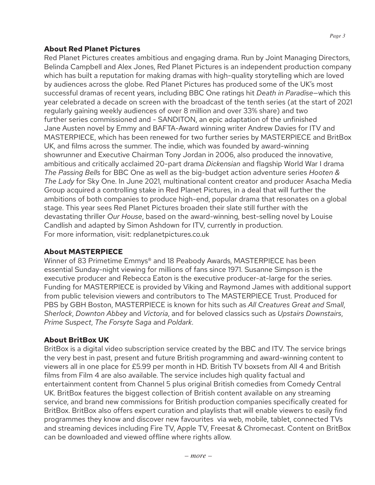*Page 3*

Red Planet Pictures creates ambitious and engaging drama. Run by Joint Managing Directors, Belinda Campbell and Alex Jones, Red Planet Pictures is an independent production company which has built a reputation for making dramas with high-quality storytelling which are loved by audiences across the globe. Red Planet Pictures has produced some of the UK's most successful dramas of recent years, including BBC One ratings hit *Death in Paradise*—which this year celebrated a decade on screen with the broadcast of the tenth series (at the start of 2021 regularly gaining weekly audiences of over 8 million and over 33% share) and two further series commissioned and - SANDITON, an epic adaptation of the unfinished Jane Austen novel by Emmy and BAFTA-Award winning writer Andrew Davies for ITV and MASTERPIECE, which has been renewed for two further series by MASTERPIECE and BritBox UK, and films across the summer. The indie, which was founded by award-winning showrunner and Executive Chairman Tony Jordan in 2006, also produced the innovative, ambitious and critically acclaimed 20-part drama *Dickensian* and flagship World War I drama *The Passing Bells* for BBC One as well as the big-budget action adventure series *Hooten & The Lady* for Sky One. In June 2021, multinational content creator and producer Asacha Media Group acquired a controlling stake in Red Planet Pictures, in a deal that will further the ambitions of both companies to produce high-end, popular drama that resonates on a global stage. This year sees Red Planet Pictures broaden their slate still further with the devastating thriller *Our House*, based on the award-winning, best-selling novel by Louise Candlish and adapted by Simon Ashdown for ITV, currently in production. For more information, visit: redplanetpictures.co.uk

### **About MASTERPIECE**

Winner of 83 Primetime Emmys® and 18 Peabody Awards, MASTERPIECE has been essential Sunday-night viewing for millions of fans since 1971. Susanne Simpson is the executive producer and Rebecca Eaton is the executive producer-at-large for the series. Funding for MASTERPIECE is provided by Viking and Raymond James with additional support from public television viewers and contributors to The MASTERPIECE Trust. Produced for PBS by GBH Boston, MASTERPIECE is known for hits such as *All Creatures Great and Small*, *Sherlock*, *Downton Abbey* and *Victoria*, and for beloved classics such as *Upstairs Downstairs*, *Prime Suspect*, *The Forsyte Saga* and *Poldark*.

### **About BritBox UK**

BritBox is a digital video subscription service created by the BBC and ITV. The service brings the very best in past, present and future British programming and award-winning content to viewers all in one place for £5.99 per month in HD. British TV boxsets from All 4 and British films from Film 4 are also available. The service includes high quality factual and entertainment content from Channel 5 plus original British comedies from Comedy Central UK. BritBox features the biggest collection of British content available on any streaming service, and brand new commissions for British production companies specifically created for BritBox. BritBox also offers expert curation and playlists that will enable viewers to easily find programmes they know and discover new favourites via web, mobile, tablet, connected TVs and streaming devices including Fire TV, Apple TV, Freesat & Chromecast. Content on BritBox can be downloaded and viewed offline where rights allow.